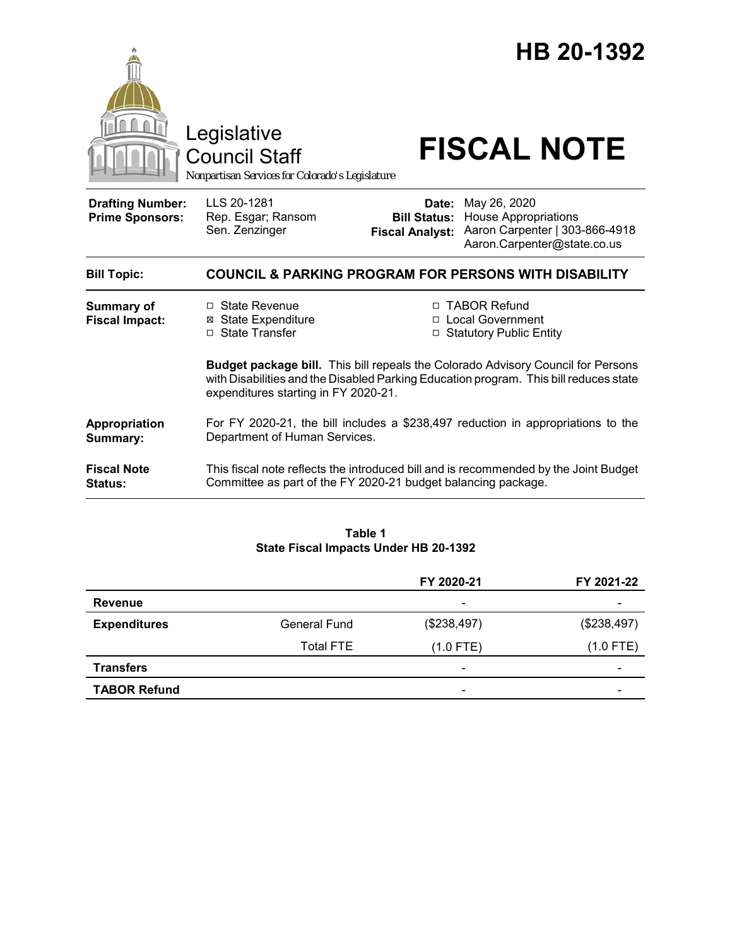

#### **Table 1 State Fiscal Impacts Under HB 20-1392**

|                     |                     | FY 2020-21               | FY 2021-22               |
|---------------------|---------------------|--------------------------|--------------------------|
| Revenue             |                     | $\overline{\phantom{a}}$ | $\overline{\phantom{0}}$ |
| <b>Expenditures</b> | <b>General Fund</b> | (\$238,497)              | (\$238,497)              |
|                     | <b>Total FTE</b>    | $(1.0$ FTE)              | $(1.0$ FTE)              |
| <b>Transfers</b>    |                     | $\overline{\phantom{a}}$ | $\overline{\phantom{0}}$ |
| <b>TABOR Refund</b> |                     | $\overline{\phantom{a}}$ | $\overline{\phantom{a}}$ |